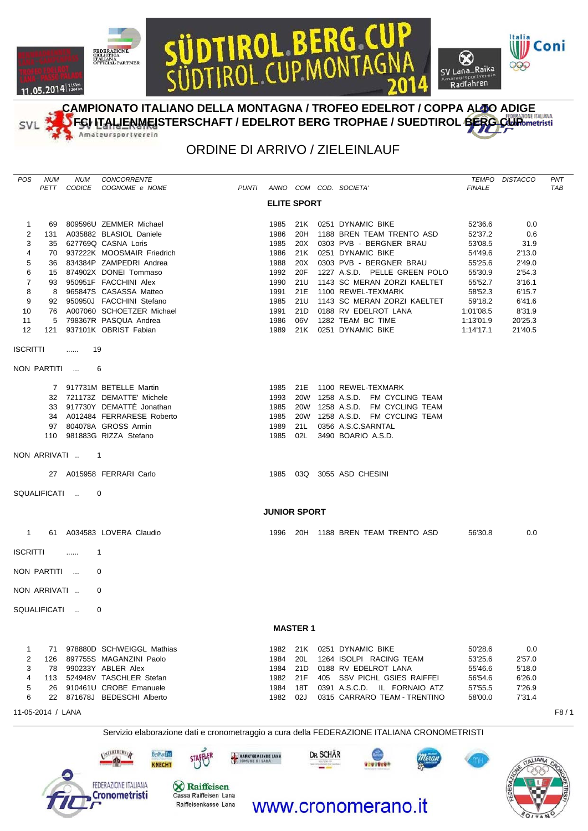## **DL BERG CL**<br>CUPMONTAG OL  $\otimes$ CICLISTICA<br>ITALIANA<br>OFFICIAL PARTNER mateursportvere



**CAMPIONATO ITALIANO DELLA MONTAGNA / TROFEO EDELROT / COPPA ALTO ADIGE** FGI **ITALIENMEI**STERSCHAFT / EDELROT BERG TROPHAE / SUEDTIROL BERG CUP INTERNATIONE ITALIANA Amateursportverein

## ORDINE DI ARRIVO / ZIELEINLAUF

| POS                                                | NUM<br>PETT                  | NUM                                  | CONCORRENTE<br>CODICE COGNOME e NOME                                                                                                                                          |                                           |                                              |                                        |           | PUNTI ANNO COM COD. SOCIETA'                                                                                                                                                         | <b>FINALE</b>                                                  | TEMPO DISTACCO                                        | PNT<br>TAB |
|----------------------------------------------------|------------------------------|--------------------------------------|-------------------------------------------------------------------------------------------------------------------------------------------------------------------------------|-------------------------------------------|----------------------------------------------|----------------------------------------|-----------|--------------------------------------------------------------------------------------------------------------------------------------------------------------------------------------|----------------------------------------------------------------|-------------------------------------------------------|------------|
|                                                    |                              |                                      |                                                                                                                                                                               |                                           | <b>ELITE SPORT</b>                           |                                        |           |                                                                                                                                                                                      |                                                                |                                                       |            |
| $\mathbf{1}$<br>$\overline{2}$<br>3<br>4<br>5      |                              |                                      | 69 809596U ZEMMER Michael<br>131 A035882 BLASIOL Daniele<br>35 627769Q CASNA Loris<br>70 937222K MOOSMAIR Friedrich<br>36 834384P ZAMPEDRI Andrea                             |                                           | 1985<br>1986<br>1985<br>1986<br>1988         | 21K<br>20H<br>20X<br>21K               |           | 0251 DYNAMIC BIKE<br>1188 BREN TEAM TRENTO ASD<br>0303 PVB - BERGNER BRAU<br>0251 DYNAMIC BIKE<br>20X 0303 PVB - BERGNER BRAU                                                        | 52'36.6<br>52'37.2<br>53'08.5<br>54'49.6<br>55'25.6            | 0.0<br>0.6<br>31.9<br>2'13.0<br>2'49.0                |            |
| 6<br>7<br>8<br>9                                   |                              |                                      | 15 874902X DONEI Tommaso<br>93 950951F FACCHINI Alex<br>8 965847S CASASSA Matteo<br>92 950950J FACCHINI Stefano                                                               |                                           | 1992<br>1990<br>1991<br>1985                 | 20F<br>21U<br>21E<br>21U               |           | 1227 A.S.D. PELLE GREEN POLO<br>1143 SC MERAN ZORZI KAELTET<br>1100 REWEL-TEXMARK                                                                                                    | 55'30.9<br>55'52.7<br>58'52.3                                  | 2'54.3<br>3'16.1<br>6'15.7                            |            |
| 10<br>11<br>12                                     | 5                            |                                      | 76 A007060 SCHOETZER Michael<br>798367R PASQUA Andrea<br>121 937101K OBRIST Fabian                                                                                            |                                           | 1991<br>1986<br>1989                         | 06V                                    |           | 1143 SC MERAN ZORZI KAELTET<br>21D 0188 RV EDELROT LANA<br>1282 TEAM BC TIME<br>21K 0251 DYNAMIC BIKE                                                                                | 59'18.2<br>1:01'08.5<br>1:13'01.9<br>1:14'17.1                 | 6'41.6<br>8'31.9<br>20'25.3<br>21'40.5                |            |
| <b>ISCRITTI</b>                                    |                              | -19<br><b><i><u>Property</u></i></b> |                                                                                                                                                                               |                                           |                                              |                                        |           |                                                                                                                                                                                      |                                                                |                                                       |            |
|                                                    |                              | NON PARTITI                          | 6                                                                                                                                                                             |                                           |                                              |                                        |           |                                                                                                                                                                                      |                                                                |                                                       |            |
|                                                    |                              |                                      | 7 917731M BETELLE Martin<br>32 721173Z DEMATTE' Michele<br>33 917730Y DEMATTÉ Jonathan<br>34 A012484 FERRARESE Roberto<br>97 804078A GROSS Armin<br>110 981883G RIZZA Stefano |                                           | 1993<br>1985<br>1985<br>1989<br>1985         | 21L                                    |           | 1985 21E 1100 REWEL-TEXMARK<br>20W 1258 A.S.D. FM CYCLING TEAM<br>20W 1258 A.S.D. FM CYCLING TEAM<br>20W 1258 A.S.D. FM CYCLING TEAM<br>0356 A.S.C.SARNTAL<br>02L 3490 BOARIO A.S.D. |                                                                |                                                       |            |
|                                                    |                              | NON ARRIVATI  1                      |                                                                                                                                                                               |                                           |                                              |                                        |           |                                                                                                                                                                                      |                                                                |                                                       |            |
|                                                    |                              |                                      | 27 A015958 FERRARI Carlo                                                                                                                                                      |                                           |                                              |                                        |           | 1985 03Q 3055 ASD CHESINI                                                                                                                                                            |                                                                |                                                       |            |
|                                                    |                              | SQUALIFICATI                         | 0                                                                                                                                                                             |                                           |                                              |                                        |           |                                                                                                                                                                                      |                                                                |                                                       |            |
| $1 \quad$                                          |                              |                                      | 61 A034583 LOVERA Claudio                                                                                                                                                     |                                           | <b>JUNIOR SPORT</b>                          |                                        |           | 1996 20H 1188 BREN TEAM TRENTO ASD                                                                                                                                                   | 56'30.8                                                        | 0.0                                                   |            |
| <b>ISCRITTI</b>                                    |                              | $\ldots$                             | $\mathbf{1}$                                                                                                                                                                  |                                           |                                              |                                        |           |                                                                                                                                                                                      |                                                                |                                                       |            |
|                                                    | NON PARTITI                  |                                      | 0                                                                                                                                                                             |                                           |                                              |                                        |           |                                                                                                                                                                                      |                                                                |                                                       |            |
|                                                    | NON ARRIVATI                 |                                      | 0                                                                                                                                                                             |                                           |                                              |                                        |           |                                                                                                                                                                                      |                                                                |                                                       |            |
|                                                    | SQUALIFICATI                 |                                      | $\Omega$                                                                                                                                                                      |                                           |                                              |                                        |           |                                                                                                                                                                                      |                                                                |                                                       |            |
|                                                    |                              |                                      |                                                                                                                                                                               |                                           |                                              | <b>MASTER 1</b>                        |           |                                                                                                                                                                                      |                                                                |                                                       |            |
| $\mathbf{1}$<br>$\overline{2}$<br>3<br>4<br>5<br>6 | 71<br>126<br>78<br>113<br>26 |                                      | 978880D SCHWEIGGL Mathias<br>897755S MAGANZINI Paolo<br>990233Y ABLER Alex<br>524948V TASCHLER Stefan<br>910461U CROBE Emanuele<br>22 871678J BEDESCHI Alberto                |                                           | 1982<br>1984<br>1984<br>1982<br>1984<br>1982 | 21K<br>20L<br>21D<br>21F<br>18T<br>02J |           | 0251 DYNAMIC BIKE<br>1264 ISOLPI RACING TEAM<br>0188 RV EDELROT LANA<br>405 SSV PICHL GSIES RAIFFEI<br>0391 A.S.C.D. IL FORNAIO ATZ<br>0315 CARRARO TEAM - TRENTINO                  | 50'28.6<br>53'25.6<br>55'46.6<br>56'54.6<br>57'55.5<br>58'00.0 | 0.0<br>2'57.0<br>5'18.0<br>6'26.0<br>7'26.9<br>7'31.4 |            |
|                                                    | 11-05-2014 / LANA            |                                      |                                                                                                                                                                               |                                           |                                              |                                        |           |                                                                                                                                                                                      |                                                                |                                                       | F8/1       |
|                                                    |                              |                                      |                                                                                                                                                                               |                                           |                                              |                                        |           | Servizio elaborazione dati e cronometraggio a cura della FEDERAZIONE ITALIANA CRONOMETRISTI                                                                                          |                                                                |                                                       |            |
|                                                    |                              |                                      | ALSTERIEURY A<br><b>BerMarleo</b><br><b>KNECHT</b>                                                                                                                            | <b>NARKTGEMEINDE LANA</b><br>MUNE DI LANA |                                              |                                        | DR. SCHÄR | asastesu                                                                                                                                                                             |                                                                | <b>TALIANA</b>                                        |            |



Raiffeisenkasse Lana

11.05.2014 125 km

SVL

## www.cronomerano.it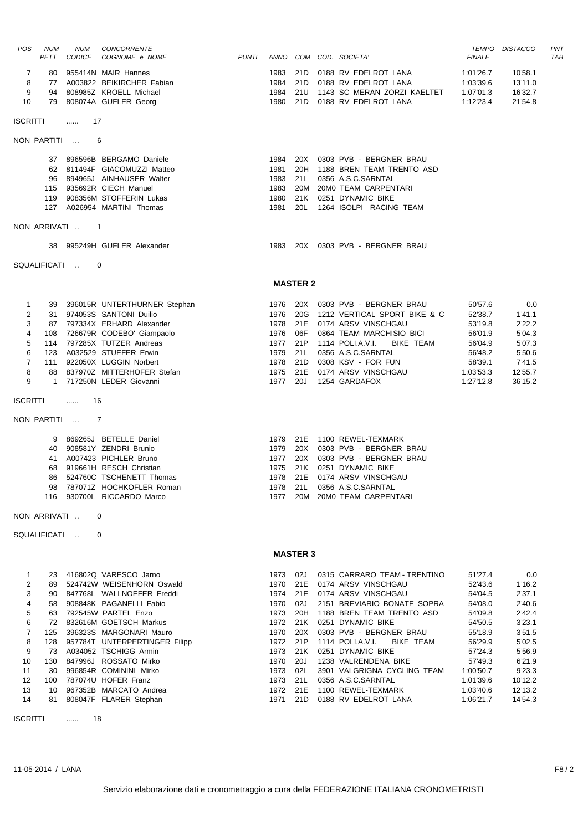| <b>POS</b>                                                                                    | NUM<br>PETT                                | <b>NUM</b><br><b>CODICE</b> | CONCORRENTE<br>COGNOME e NOME                                                                                                                                                                                                                                                                                                                                                                       | <b>PUNTI</b> |                                                                                                                  |                                                             | ANNO COM COD. SOCIETA'                                                                                                                                                                                                                                                                                                                                                               | TEMPO<br><b>FINALE</b>                                                                                                                                         | <b>DISTACCO</b>                                                                                                                          | PNT<br><b>TAB</b> |
|-----------------------------------------------------------------------------------------------|--------------------------------------------|-----------------------------|-----------------------------------------------------------------------------------------------------------------------------------------------------------------------------------------------------------------------------------------------------------------------------------------------------------------------------------------------------------------------------------------------------|--------------|------------------------------------------------------------------------------------------------------------------|-------------------------------------------------------------|--------------------------------------------------------------------------------------------------------------------------------------------------------------------------------------------------------------------------------------------------------------------------------------------------------------------------------------------------------------------------------------|----------------------------------------------------------------------------------------------------------------------------------------------------------------|------------------------------------------------------------------------------------------------------------------------------------------|-------------------|
| 7<br>8<br>9<br>10                                                                             | 80<br>77<br>94<br>79                       |                             | 955414N MAIR Hannes<br>A003822 BEIKIRCHER Fabian<br>808985Z KROELL Michael<br>808074A GUFLER Georg                                                                                                                                                                                                                                                                                                  |              | 1983<br>1984<br>1984<br>1980                                                                                     | 21D<br>21U                                                  | 21D 0188 RV EDELROT LANA<br>0188 RV EDELROT LANA<br>1143 SC MERAN ZORZI KAELTET<br>21D 0188 RV EDELROT LANA                                                                                                                                                                                                                                                                          | 1:01'26.7<br>1:03'39.6<br>1:07'01.3<br>1:12'23.4                                                                                                               | 10'58.1<br>13'11.0<br>16'32.7<br>21'54.8                                                                                                 |                   |
| ISCRITTI                                                                                      |                                            | 17<br>$\ldots$              |                                                                                                                                                                                                                                                                                                                                                                                                     |              |                                                                                                                  |                                                             |                                                                                                                                                                                                                                                                                                                                                                                      |                                                                                                                                                                |                                                                                                                                          |                   |
|                                                                                               | NON PARTITI                                |                             | 6                                                                                                                                                                                                                                                                                                                                                                                                   |              |                                                                                                                  |                                                             |                                                                                                                                                                                                                                                                                                                                                                                      |                                                                                                                                                                |                                                                                                                                          |                   |
|                                                                                               | 96                                         |                             | 37 896596B BERGAMO Daniele<br>62 811494F GIACOMUZZI Matteo<br>894965J AINHAUSER Walter<br>115 935692R CIECH Manuel<br>119 908356M STOFFERIN Lukas<br>127 A026954 MARTINI Thomas                                                                                                                                                                                                                     |              | 1984<br>1981<br>1983<br>1983<br>1980<br>1981                                                                     | 20X<br>20H<br>21L<br>20M<br>21K<br>20L                      | 0303 PVB - BERGNER BRAU<br>1188 BREN TEAM TRENTO ASD<br>0356 A.S.C.SARNTAL<br>20M0 TEAM CARPENTARI<br>0251 DYNAMIC BIKE<br>1264 ISOLPI RACING TEAM                                                                                                                                                                                                                                   |                                                                                                                                                                |                                                                                                                                          |                   |
|                                                                                               | NON ARRIVATI                               | $\blacksquare$ 1            |                                                                                                                                                                                                                                                                                                                                                                                                     |              |                                                                                                                  |                                                             |                                                                                                                                                                                                                                                                                                                                                                                      |                                                                                                                                                                |                                                                                                                                          |                   |
|                                                                                               |                                            |                             | 38 995249H GUFLER Alexander                                                                                                                                                                                                                                                                                                                                                                         |              | 1983                                                                                                             |                                                             | 20X 0303 PVB - BERGNER BRAU                                                                                                                                                                                                                                                                                                                                                          |                                                                                                                                                                |                                                                                                                                          |                   |
|                                                                                               | SQUALIFICATI                               |                             | 0                                                                                                                                                                                                                                                                                                                                                                                                   |              |                                                                                                                  |                                                             |                                                                                                                                                                                                                                                                                                                                                                                      |                                                                                                                                                                |                                                                                                                                          |                   |
|                                                                                               |                                            |                             |                                                                                                                                                                                                                                                                                                                                                                                                     |              |                                                                                                                  | <b>MASTER 2</b>                                             |                                                                                                                                                                                                                                                                                                                                                                                      |                                                                                                                                                                |                                                                                                                                          |                   |
| 1<br>2<br>3<br>4<br>5<br>6<br>7<br>8<br>9                                                     | 108<br>114<br>123<br>111<br>88             |                             | 39 396015R UNTERTHURNER Stephan<br>31 974053S SANTONI Duilio<br>87 797334X ERHARD Alexander<br>726679R CODEBO' Giampaolo<br>797285X TUTZER Andreas<br>A032529 STUEFER Erwin<br>922050X LUGGIN Norbert<br>837970Z MITTERHOFER Stefan<br>1 717250N LEDER Giovanni                                                                                                                                     |              | 1976<br>1976<br>1978<br>1976<br>1977<br>1979<br>1978<br>1975<br>1977 20J                                         | 20X<br>20G<br>21E<br>06F<br>21P<br>21L<br>21D<br>21E        | 0303 PVB - BERGNER BRAU<br>1212 VERTICAL SPORT BIKE & C<br>0174 ARSV VINSCHGAU<br>0864 TEAM MARCHISIO BICI<br>1114 POLI.A.V.I.<br><b>BIKE TEAM</b><br>0356 A.S.C.SARNTAL<br>0308 KSV - FOR FUN<br>0174 ARSV VINSCHGAU<br>1254 GARDAFOX                                                                                                                                               | 50'57.6<br>52'38.7<br>53'19.8<br>56'01.9<br>56'04.9<br>56'48.2<br>58'39.1<br>1:03'53.3<br>1:27'12.8                                                            | 0.0<br>1'41.1<br>2'22.2<br>5'04.3<br>5'07.3<br>5'50.6<br>7'41.5<br>12'55.7<br>36'15.2                                                    |                   |
| <b>ISCRITTI</b>                                                                               |                                            | 16<br>.                     |                                                                                                                                                                                                                                                                                                                                                                                                     |              |                                                                                                                  |                                                             |                                                                                                                                                                                                                                                                                                                                                                                      |                                                                                                                                                                |                                                                                                                                          |                   |
|                                                                                               | NON PARTITI                                |                             | 7                                                                                                                                                                                                                                                                                                                                                                                                   |              |                                                                                                                  |                                                             |                                                                                                                                                                                                                                                                                                                                                                                      |                                                                                                                                                                |                                                                                                                                          |                   |
|                                                                                               | 9<br>40<br>41<br>68<br>86                  |                             | 869265J BETELLE Daniel<br>908581Y ZENDRI Brunio<br>A007423 PICHLER Bruno<br>919661H RESCH Christian<br>524760C TSCHENETT Thomas<br>98 787071Z HOCHKOFLER Roman<br>116 930700L RICCARDO Marco                                                                                                                                                                                                        |              | 1979<br>1977<br>1975<br>1978                                                                                     | 20X<br>21K                                                  | 1979 21E 1100 REWEL-TEXMARK<br>20X 0303 PVB - BERGNER BRAU<br>0303 PVB - BERGNER BRAU<br>0251 DYNAMIC BIKE<br>21E 0174 ARSV VINSCHGAU<br>1978 21L 0356 A.S.C.SARNTAL<br>1977 20M 20M0 TEAM CARPENTARI                                                                                                                                                                                |                                                                                                                                                                |                                                                                                                                          |                   |
|                                                                                               | NON ARRIVATI                               |                             | 0                                                                                                                                                                                                                                                                                                                                                                                                   |              |                                                                                                                  |                                                             |                                                                                                                                                                                                                                                                                                                                                                                      |                                                                                                                                                                |                                                                                                                                          |                   |
|                                                                                               | SQUALIFICATI                               |                             | 0                                                                                                                                                                                                                                                                                                                                                                                                   |              |                                                                                                                  |                                                             |                                                                                                                                                                                                                                                                                                                                                                                      |                                                                                                                                                                |                                                                                                                                          |                   |
|                                                                                               |                                            |                             |                                                                                                                                                                                                                                                                                                                                                                                                     |              |                                                                                                                  | <b>MASTER 3</b>                                             |                                                                                                                                                                                                                                                                                                                                                                                      |                                                                                                                                                                |                                                                                                                                          |                   |
| 1<br>$\overline{\mathbf{c}}$<br>3<br>4<br>5<br>6<br>7<br>8<br>9<br>10<br>11<br>12<br>13<br>14 | 58<br>63<br>125<br>128<br>73<br>130<br>100 |                             | 23 416802Q VARESCO Jarno<br>89 524742W WEISENHORN Oswald<br>90 847768L WALLNOEFER Freddi<br>908848K PAGANELLI Fabio<br>792545W PARTEL Enzo<br>72 832616M GOETSCH Markus<br>396323S MARGONARI Mauro<br>957784T UNTERPERTINGER Filipp<br>A034052 TSCHIGG Armin<br>847996J ROSSATO Mirko<br>30 996854R COMININI Mirko<br>787074U HOFER Franz<br>10 967352B MARCATO Andrea<br>81 808047F FLARER Stephan |              | 1973 02J<br>1970<br>1974<br>1970<br>1973<br>1972 21K<br>1970<br>1972<br>1973<br>1970<br>1973<br>1973<br>1972 21E | 21E<br>02J<br>20H<br>20X<br>21P<br>21K<br>20J<br>02L<br>21L | 0315 CARRARO TEAM - TRENTINO<br>0174 ARSV VINSCHGAU<br>21E 0174 ARSV VINSCHGAU<br>2151 BREVIARIO BONATE SOPRA<br>1188 BREN TEAM TRENTO ASD<br>0251 DYNAMIC BIKE<br>0303 PVB - BERGNER BRAU<br>1114 POLI.A.V.I.<br>BIKE TEAM<br>0251 DYNAMIC BIKE<br>1238 VALRENDENA BIKE<br>3901 VALGRIGNA CYCLING TEAM<br>0356 A.S.C.SARNTAL<br>1100 REWEL-TEXMARK<br>1971 21D 0188 RV EDELROT LANA | 51'27.4<br>52'43.6<br>54'04.5<br>54'08.0<br>54'09.8<br>54'50.5<br>55'18.9<br>56'29.9<br>57'24.3<br>57'49.3<br>1:00'50.7<br>1:01'39.6<br>1:03'40.6<br>1:06'21.7 | 0.0<br>1'16.2<br>2'37.1<br>2'40.6<br>2'42.4<br>3'23.1<br>3'51.5<br>5'02.5<br>5'56.9<br>6'21.9<br>9'23.3<br>10'12.2<br>12'13.2<br>14'54.3 |                   |
| <b>ISCRITTI</b>                                                                               |                                            | 18<br>$\cdots$              |                                                                                                                                                                                                                                                                                                                                                                                                     |              |                                                                                                                  |                                                             |                                                                                                                                                                                                                                                                                                                                                                                      |                                                                                                                                                                |                                                                                                                                          |                   |

11-05-2014 / LANA F8 / 2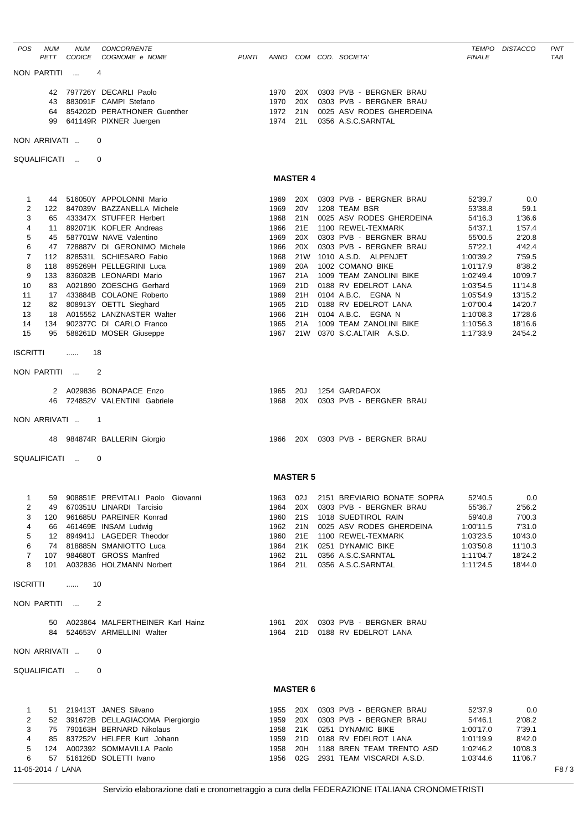| <b>POS</b>          | <b>NUM</b><br>PETT | <b>NUM</b><br><b>CODICE</b> | CONCORRENTE<br>COGNOME e NOME                                      | <b>PUNTI</b> |              |                 | ANNO COM COD. SOCIETA'                                | TEMPO<br><b>FINALE</b> | <b>DISTACCO</b>    | PNT<br><b>TAB</b> |
|---------------------|--------------------|-----------------------------|--------------------------------------------------------------------|--------------|--------------|-----------------|-------------------------------------------------------|------------------------|--------------------|-------------------|
|                     | NON PARTITI        | $\sim$                      | 4                                                                  |              |              |                 |                                                       |                        |                    |                   |
|                     |                    |                             | 42 797726Y DECARLI Paolo                                           |              | 1970         | 20X             | 0303 PVB - BERGNER BRAU                               |                        |                    |                   |
|                     | 43                 |                             | 883091F CAMPI Stefano                                              |              | 1970         | 20X             | 0303 PVB - BERGNER BRAU                               |                        |                    |                   |
|                     | 64<br>99           |                             | 854202D PERATHONER Guenther<br>641149R PIXNER Juergen              |              | 1972<br>1974 | 21N<br>21L      | 0025 ASV RODES GHERDEINA<br>0356 A.S.C.SARNTAL        |                        |                    |                   |
|                     | NON ARRIVATI       |                             | 0                                                                  |              |              |                 |                                                       |                        |                    |                   |
|                     | SQUALIFICATI       |                             | 0                                                                  |              |              |                 |                                                       |                        |                    |                   |
|                     |                    |                             |                                                                    |              |              | <b>MASTER 4</b> |                                                       |                        |                    |                   |
|                     |                    |                             | 44 516050Y APPOLONNI Mario                                         |              |              | 20X             |                                                       | 52'39.7                | 0.0                |                   |
| 1<br>2              |                    |                             | 122 847039V BAZZANELLA Michele                                     |              | 1969<br>1969 | <b>20V</b>      | 0303 PVB - BERGNER BRAU<br>1208 TEAM BSR              | 53'38.8                | 59.1               |                   |
| 3                   |                    |                             | 65 433347X STUFFER Herbert                                         |              | 1968         | 21N             | 0025 ASV RODES GHERDEINA                              | 54'16.3                | 1'36.6             |                   |
| 4<br>5              |                    |                             | 11 892071K KOFLER Andreas<br>587701W NAVE Valentino                |              | 1966         | 21E<br>20X      | 1100 REWEL-TEXMARK<br>0303 PVB - BERGNER BRAU         | 54'37.1<br>55'00.5     | 1'57.4             |                   |
| 6                   | 45<br>47           |                             | 728887V DI GERONIMO Michele                                        |              | 1969<br>1966 | 20X             | 0303 PVB - BERGNER BRAU                               | 57'22.1                | 2'20.8<br>4'42.4   |                   |
| $\overline{7}$      | 112                |                             | 828531L SCHIESARO Fabio                                            |              | 1968         | 21W             | 1010 A.S.D. ALPENJET                                  | 1:00'39.2              | 7'59.5             |                   |
| 8                   | 118                |                             | 895269H PELLEGRINI Luca                                            |              | 1969         | 20A             | 1002 COMANO BIKE                                      | 1:01'17.9              | 8'38.2             |                   |
| 9<br>10             | 133<br>83          |                             | 836032B LEONARDI Mario<br>A021890 ZOESCHG Gerhard                  |              | 1967<br>1969 | 21A<br>21D      | 1009 TEAM ZANOLINI BIKE<br>0188 RV EDELROT LANA       | 1:02'49.4<br>1:03'54.5 | 10'09.7<br>11'14.8 |                   |
| 11                  | 17                 |                             | 433884B COLAONE Roberto                                            |              | 1969         | 21H             | 0104 A.B.C. EGNA N                                    | 1:05'54.9              | 13'15.2            |                   |
| 12                  |                    |                             | 82 808913Y OETTL Sieghard                                          |              | 1965         | 21D             | 0188 RV EDELROT LANA                                  | 1:07'00.4              | 14'20.7            |                   |
| 13                  | 18                 |                             | A015552 LANZNASTER Walter                                          |              | 1966         | 21H             | 0104 A.B.C. EGNA N                                    | 1:10'08.3              | 17'28.6            |                   |
| 14<br>15            | 134<br>95          |                             | 902377C DI CARLO Franco<br>588261D MOSER Giuseppe                  |              | 1965<br>1967 | 21A             | 1009 TEAM ZANOLINI BIKE<br>21W 0370 S.C.ALTAIR A.S.D. | 1:10'56.3<br>1:17'33.9 | 18'16.6<br>24'54.2 |                   |
| <b>ISCRITTI</b>     |                    |                             | 18                                                                 |              |              |                 |                                                       |                        |                    |                   |
|                     |                    | .                           |                                                                    |              |              |                 |                                                       |                        |                    |                   |
|                     | NON PARTITI        |                             | $\overline{2}$                                                     |              |              |                 |                                                       |                        |                    |                   |
|                     | 46                 |                             | 2 A029836 BONAPACE Enzo<br>724852V VALENTINI Gabriele              |              | 1965<br>1968 | 20J<br>20X      | 1254 GARDAFOX<br>0303 PVB - BERGNER BRAU              |                        |                    |                   |
|                     | NON ARRIVATI       |                             | $\overline{1}$                                                     |              |              |                 |                                                       |                        |                    |                   |
|                     | 48                 |                             | 984874R BALLERIN Giorgio                                           |              |              |                 | 1966  20X  0303  PVB - BERGNER BRAU                   |                        |                    |                   |
|                     |                    |                             |                                                                    |              |              |                 |                                                       |                        |                    |                   |
|                     |                    | SQUALIFICATI                | 0                                                                  |              |              |                 |                                                       |                        |                    |                   |
|                     |                    |                             |                                                                    |              |              | <b>MASTER 5</b> |                                                       |                        |                    |                   |
| 1                   | 59                 |                             | 908851E PREVITALI Paolo Giovanni                                   |              | 1963         | 02J             | 2151 BREVIARIO BONATE SOPRA                           | 52'40.5                | 0.0                |                   |
| 2<br>3              | 49<br>120          |                             | 670351U LINARDI Tarcisio<br>961685U PAREINER Konrad                |              | 1964<br>1960 | 20X<br>21S      | 0303 PVB - BERGNER BRAU<br>1018 SUEDTIROL RAIN        | 55'36.7<br>59'40.8     | 2'56.2<br>7'00.3   |                   |
| 4                   | 66                 |                             | 461469E INSAM Ludwig                                               |              | 1962         | 21N             | 0025 ASV RODES GHERDEINA                              | 1:00'11.5              | 7'31.0             |                   |
| 5                   |                    |                             | 12 894941J LAGEDER Theodor                                         |              | 1960         | 21E             | 1100 REWEL-TEXMARK                                    | 1:03'23.5              | 10'43.0            |                   |
| 6                   |                    |                             | 74 818885N SMANIOTTO Luca                                          |              | 1964         | 21K             | 0251 DYNAMIC BIKE                                     | 1:03'50.8              | 11'10.3            |                   |
| $\overline{7}$<br>8 | 107                |                             | 984680T GROSS Manfred<br>101 A032836 HOLZMANN Norbert              |              | 1962<br>1964 | 21L<br>21L      | 0356 A.S.C.SARNTAL<br>0356 A.S.C.SARNTAL              | 1:11'04.7<br>1:11'24.5 | 18'24.2<br>18'44.0 |                   |
| <b>ISCRITTI</b>     |                    | .                           | 10                                                                 |              |              |                 |                                                       |                        |                    |                   |
|                     | NON PARTITI        |                             | 2                                                                  |              |              |                 |                                                       |                        |                    |                   |
|                     |                    |                             |                                                                    |              |              |                 |                                                       |                        |                    |                   |
|                     |                    |                             | 50 A023864 MALFERTHEINER Karl Hainz<br>84 524653V ARMELLINI Walter |              | 1961<br>1964 | 20X<br>21D      | 0303 PVB - BERGNER BRAU<br>0188 RV EDELROT LANA       |                        |                    |                   |
|                     | NON ARRIVATI       |                             | 0                                                                  |              |              |                 |                                                       |                        |                    |                   |
|                     | SQUALIFICATI       |                             | 0                                                                  |              |              |                 |                                                       |                        |                    |                   |
|                     |                    |                             |                                                                    |              |              | <b>MASTER 6</b> |                                                       |                        |                    |                   |
| 1                   |                    |                             | 51 219413T JANES Silvano                                           |              | 1955         | 20X             | 0303 PVB - BERGNER BRAU                               | 52'37.9                | 0.0                |                   |
| $\overline{2}$      |                    |                             | 52 391672B DELLAGIACOMA Piergiorgio                                |              | 1959         | 20X             | 0303 PVB - BERGNER BRAU                               | 54'46.1                | 2'08.2             |                   |
| 3                   |                    |                             | 75 790163H BERNARD Nikolaus                                        |              | 1958         | 21K             | 0251 DYNAMIC BIKE                                     | 1:00'17.0              | 7'39.1             |                   |
| 4<br>5              |                    |                             | 85 837252V HELFER Kurt Johann<br>124 A002392 SOMMAVILLA Paolo      |              | 1959<br>1958 | 21D<br>20H      | 0188 RV EDELROT LANA<br>1188 BREN TEAM TRENTO ASD     | 1:01'19.9<br>1:02'46.2 | 8'42.0<br>10'08.3  |                   |
| 6                   |                    |                             | 57 516126D SOLETTI Ivano                                           |              | 1956         | 02G             | 2931 TEAM VISCARDI A.S.D.                             | 1:03'44.6              | 11'06.7            |                   |
|                     | 11-05-2014 / LANA  |                             |                                                                    |              |              |                 |                                                       |                        |                    | F8/3              |
|                     |                    |                             |                                                                    |              |              |                 |                                                       |                        |                    |                   |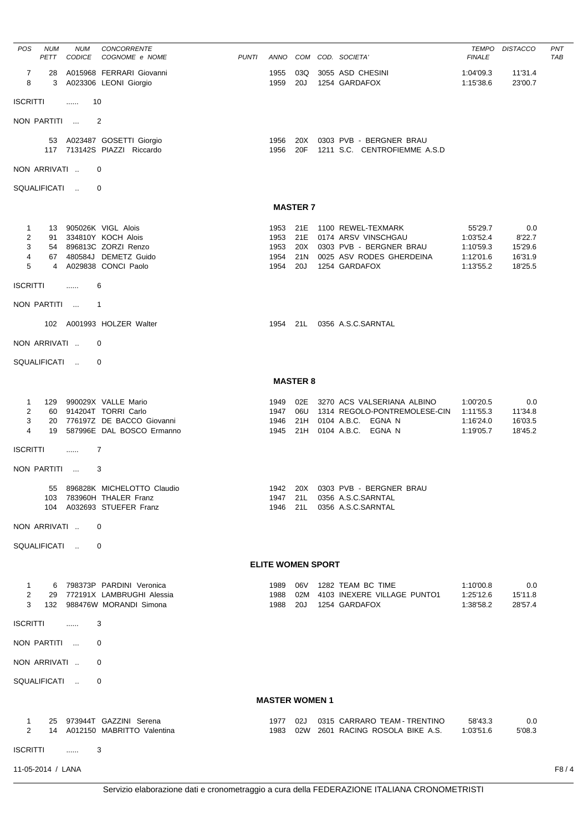| <b>POS</b>                                    | <b>NUM</b><br>PETT   | <b>NUM</b><br>CODICE | CONCORRENTE<br>COGNOME e NOME                                                                                           | <b>PUNTI</b> |                                          |                   | ANNO COM COD. SOCIETA'                                                                                                | <b>TEMPO</b><br><b>FINALE</b>                               | <b>DISTACCO</b>                                | <b>PNT</b><br><b>TAB</b> |
|-----------------------------------------------|----------------------|----------------------|-------------------------------------------------------------------------------------------------------------------------|--------------|------------------------------------------|-------------------|-----------------------------------------------------------------------------------------------------------------------|-------------------------------------------------------------|------------------------------------------------|--------------------------|
| $\overline{7}$<br>8                           | 28<br>3              |                      | A015968 FERRARI Giovanni<br>A023306 LEONI Giorgio                                                                       |              | 1955<br>1959                             | 03Q<br>20J        | 3055 ASD CHESINI<br>1254 GARDAFOX                                                                                     | 1:04'09.3<br>1:15'38.6                                      | 11'31.4<br>23'00.7                             |                          |
| <b>ISCRITTI</b>                               |                      | .                    | 10                                                                                                                      |              |                                          |                   |                                                                                                                       |                                                             |                                                |                          |
|                                               | NON PARTITI          |                      | $\overline{2}$                                                                                                          |              |                                          |                   |                                                                                                                       |                                                             |                                                |                          |
|                                               |                      |                      | 53 A023487 GOSETTI Giorgio<br>117 713142S PIAZZI Riccardo                                                               |              | 1956<br>1956                             | 20X<br>20F        | 0303 PVB - BERGNER BRAU<br>1211 S.C. CENTROFIEMME A.S.D                                                               |                                                             |                                                |                          |
|                                               | NON ARRIVATI         |                      | 0                                                                                                                       |              |                                          |                   |                                                                                                                       |                                                             |                                                |                          |
|                                               | SQUALIFICATI         |                      | 0                                                                                                                       |              |                                          |                   |                                                                                                                       |                                                             |                                                |                          |
|                                               |                      |                      |                                                                                                                         |              |                                          | <b>MASTER 7</b>   |                                                                                                                       |                                                             |                                                |                          |
| $\mathbf{1}$<br>$\overline{2}$<br>3<br>4<br>5 | 91<br>$\overline{4}$ |                      | 13 905026K VIGL Alois<br>334810Y KOCH Alois<br>54 896813C ZORZI Renzo<br>67 480584J DEMETZ Guido<br>A029838 CONCI Paolo |              | 1953<br>1953 21E<br>1953<br>1954<br>1954 | 20X<br>21N<br>20J | 21E 1100 REWEL-TEXMARK<br>0174 ARSV VINSCHGAU<br>0303 PVB - BERGNER BRAU<br>0025 ASV RODES GHERDEINA<br>1254 GARDAFOX | 55'29.7<br>1:03'52.4<br>1:10'59.3<br>1:12'01.6<br>1:13'55.2 | 0.0<br>8'22.7<br>15'29.6<br>16'31.9<br>18'25.5 |                          |
| <b>ISCRITTI</b>                               |                      | $\cdots$             | 6                                                                                                                       |              |                                          |                   |                                                                                                                       |                                                             |                                                |                          |
|                                               | NON PARTITI          |                      | $\overline{1}$                                                                                                          |              |                                          |                   |                                                                                                                       |                                                             |                                                |                          |
|                                               |                      |                      | 102 A001993 HOLZER Walter                                                                                               |              |                                          |                   | 1954 21L 0356 A.S.C.SARNTAL                                                                                           |                                                             |                                                |                          |
|                                               | NON ARRIVATI         |                      | 0                                                                                                                       |              |                                          |                   |                                                                                                                       |                                                             |                                                |                          |
|                                               | SQUALIFICATI         |                      | 0                                                                                                                       |              |                                          |                   |                                                                                                                       |                                                             |                                                |                          |
|                                               |                      |                      |                                                                                                                         |              |                                          | <b>MASTER 8</b>   |                                                                                                                       |                                                             |                                                |                          |
| $\mathbf{1}$<br>2<br>3<br>4                   | 129<br>20<br>19      |                      | 990029X VALLE Mario<br>60 914204T TORRI Carlo<br>776197Z DE BACCO Giovanni<br>587996E DAL BOSCO Ermanno                 |              | 1949<br>1947<br>1946<br>1945             | 21H<br>21H        | 02E 3270 ACS VALSERIANA ALBINO<br>06U 1314 REGOLO-PONTREMOLESE-CIN<br>0104 A.B.C. EGNA N<br>0104 A.B.C. EGNA N        | 1:00'20.5<br>1:11'55.3<br>1:16'24.0<br>1:19'05.7            | 0.0<br>11'34.8<br>16'03.5<br>18'45.2           |                          |
| <b>ISCRITTI</b>                               |                      | $\cdots$             | 7                                                                                                                       |              |                                          |                   |                                                                                                                       |                                                             |                                                |                          |
|                                               | NON PARTITI          |                      | 3                                                                                                                       |              |                                          |                   |                                                                                                                       |                                                             |                                                |                          |
|                                               |                      |                      | 55 896828K MICHELOTTO Claudio<br>103 783960H THALER Franz<br>104 A032693 STUEFER Franz                                  |              |                                          |                   | 1942  20X  0303  PVB - BERGNER BRAU<br>1947 21L 0356 A.S.C.SARNTAL<br>1946 21L 0356 A.S.C.SARNTAL                     |                                                             |                                                |                          |
|                                               | NON ARRIVATI         |                      | $\mathbf 0$                                                                                                             |              |                                          |                   |                                                                                                                       |                                                             |                                                |                          |
|                                               |                      | SQUALIFICATI         | 0                                                                                                                       |              |                                          |                   |                                                                                                                       |                                                             |                                                |                          |
|                                               |                      |                      |                                                                                                                         |              | <b>ELITE WOMEN SPORT</b>                 |                   |                                                                                                                       |                                                             |                                                |                          |
| $\overline{2}$                                |                      |                      | 1 6 798373P PARDINI Veronica<br>29 772191X LAMBRUGHI Alessia<br>3 132 988476W MORANDI Simona                            |              |                                          |                   | 1989    06V    1282    TEAM BC    TIME<br>1988 02M 4103 INEXERE VILLAGE PUNTO1<br>1988 20J 1254 GARDAFOX              | 1:10'00.8<br>1:25'12.6<br>1:38'58.2                         | 0.0<br>15'11.8<br>28'57.4                      |                          |
|                                               | ISCRITTI             |                      | 3                                                                                                                       |              |                                          |                   |                                                                                                                       |                                                             |                                                |                          |
|                                               | NON PARTITI          |                      | 0                                                                                                                       |              |                                          |                   |                                                                                                                       |                                                             |                                                |                          |
|                                               | NON ARRIVATI         |                      | 0                                                                                                                       |              |                                          |                   |                                                                                                                       |                                                             |                                                |                          |
|                                               |                      | SQUALIFICATI         | $\Omega$                                                                                                                |              |                                          |                   |                                                                                                                       |                                                             |                                                |                          |
|                                               |                      |                      |                                                                                                                         |              | <b>MASTER WOMEN 1</b>                    |                   |                                                                                                                       |                                                             |                                                |                          |
| $\mathbf{1}$<br>$\overline{2}$                |                      |                      | 25 973944T GAZZINI Serena<br>14 A012150 MABRITTO Valentina                                                              |              |                                          |                   | 1977 02J 0315 CARRARO TEAM - TRENTINO 58'43.3<br>1983 02W 2601 RACING ROSOLA BIKE A.S. 1:03'51.6                      |                                                             | 0.0<br>5'08.3                                  |                          |
| ISCRITTI                                      |                      | .                    | 3                                                                                                                       |              |                                          |                   |                                                                                                                       |                                                             |                                                |                          |
|                                               | 11-05-2014 / LANA    |                      |                                                                                                                         |              |                                          |                   |                                                                                                                       |                                                             |                                                | F8/4                     |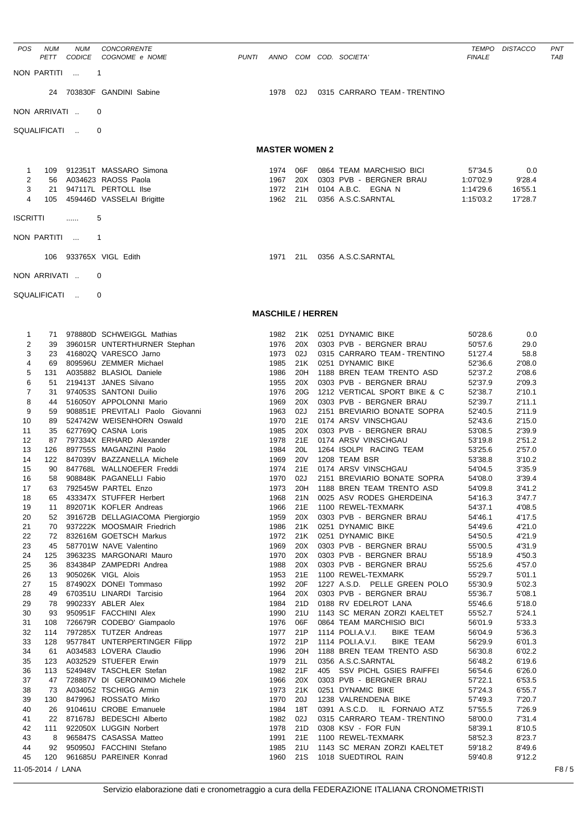| <b>POS</b>          | <b>NUM</b><br>PETT | <b>NUM</b><br><b>CODICE</b> | <b>CONCORRENTE</b><br>COGNOME e NOME              | <b>PUNTI</b> |                          |            | ANNO COM COD. SOCIETA'                                  | <b>FINALE</b>      | TEMPO DISTACCO   | PNT<br><b>TAB</b> |
|---------------------|--------------------|-----------------------------|---------------------------------------------------|--------------|--------------------------|------------|---------------------------------------------------------|--------------------|------------------|-------------------|
|                     | NON PARTITI        | $\overline{1}$              |                                                   |              |                          |            |                                                         |                    |                  |                   |
|                     | 24                 |                             | 703830F GANDINI Sabine                            |              | 1978                     | 02J        | 0315 CARRARO TEAM - TRENTINO                            |                    |                  |                   |
|                     | NON ARRIVATI       |                             | 0                                                 |              |                          |            |                                                         |                    |                  |                   |
|                     | SQUALIFICATI       |                             | $\Omega$                                          |              |                          |            |                                                         |                    |                  |                   |
|                     |                    |                             |                                                   |              | <b>MASTER WOMEN 2</b>    |            |                                                         |                    |                  |                   |
| 1                   | 109                |                             | 912351T MASSARO Simona                            |              | 1974                     | 06F        | 0864 TEAM MARCHISIO BICI                                | 57'34.5            | 0.0              |                   |
| $\overline{2}$      | 56                 |                             | A034623 RAOSS Paola                               |              | 1967                     | 20X        | 0303 PVB - BERGNER BRAU                                 | 1:07'02.9          | 9'28.4           |                   |
| 3                   | 21                 |                             | 947117L PERTOLL Ilse                              |              | 1972                     | 21H        | 0104 A.B.C. EGNA N                                      | 1:14'29.6          | 16'55.1          |                   |
| $\overline{4}$      | 105                |                             | 459446D VASSELAI Brigitte                         |              | 1962                     | 21L        | 0356 A.S.C.SARNTAL                                      | 1:15'03.2          | 17'28.7          |                   |
| <b>ISCRITTI</b>     |                    | .                           | 5                                                 |              |                          |            |                                                         |                    |                  |                   |
|                     | NON PARTITI        |                             | 1                                                 |              |                          |            |                                                         |                    |                  |                   |
|                     | 106                |                             | 933765X VIGL Edith                                |              | 1971                     | 21L        | 0356 A.S.C.SARNTAL                                      |                    |                  |                   |
|                     |                    |                             |                                                   |              |                          |            |                                                         |                    |                  |                   |
|                     | NON ARRIVATI       |                             | 0                                                 |              |                          |            |                                                         |                    |                  |                   |
|                     | SQUALIFICATI       |                             | 0                                                 |              |                          |            |                                                         |                    |                  |                   |
|                     |                    |                             |                                                   |              | <b>MASCHILE / HERREN</b> |            |                                                         |                    |                  |                   |
| 1                   |                    |                             | 71 978880D SCHWEIGGL Mathias                      |              | 1982                     | 21K        | 0251 DYNAMIC BIKE                                       | 50'28.6            | 0.0              |                   |
| $\overline{2}$      | 39                 |                             | 396015R UNTERTHURNER Stephan                      |              | 1976                     | 20X        | 0303 PVB - BERGNER BRAU                                 | 50'57.6            | 29.0             |                   |
| 3                   | 23                 |                             | 416802Q VARESCO Jarno                             |              | 1973                     | 02J        | 0315 CARRARO TEAM - TRENTINO                            | 51'27.4            | 58.8             |                   |
| 4                   | 69                 |                             | 809596U ZEMMER Michael                            |              | 1985                     | 21K        | 0251 DYNAMIC BIKE                                       | 52'36.6            | 2'08.0           |                   |
| 5                   | 131                |                             | A035882 BLASIOL Daniele                           |              | 1986                     | 20H        | 1188 BREN TEAM TRENTO ASD                               | 52'37.2            | 2'08.6           |                   |
| 6                   | 51                 |                             | 219413T JANES Silvano                             |              | 1955                     | 20X        | 0303 PVB - BERGNER BRAU                                 | 52'37.9            | 2'09.3           |                   |
| $\overline{7}$<br>8 | 31<br>44           |                             | 974053S SANTONI Duilio<br>516050Y APPOLONNI Mario |              | 1976<br>1969             | 20G<br>20X | 1212 VERTICAL SPORT BIKE & C<br>0303 PVB - BERGNER BRAU | 52'38.7<br>52'39.7 | 2'10.1<br>2'11.1 |                   |
| 9                   | 59                 |                             | 908851E PREVITALI Paolo Giovanni                  |              | 1963                     | 02J        | 2151 BREVIARIO BONATE SOPRA                             | 52'40.5            | 2'11.9           |                   |
| 10                  | 89                 |                             | 524742W WEISENHORN Oswald                         |              | 1970                     | 21E        | 0174 ARSV VINSCHGAU                                     | 52'43.6            | 2'15.0           |                   |
| 11                  | 35                 |                             | 627769Q CASNA Loris                               |              | 1985                     | 20X        | 0303 PVB - BERGNER BRAU                                 | 53'08.5            | 2'39.9           |                   |
| 12                  | 87                 |                             | 797334X ERHARD Alexander                          |              | 1978                     | 21E        | 0174 ARSV VINSCHGAU                                     | 53'19.8            | 2'51.2           |                   |
| 13                  | 126                |                             | 897755S MAGANZINI Paolo                           |              | 1984                     | 20L        | 1264 ISOLPI RACING TEAM                                 | 53'25.6            | 2'57.0           |                   |
| 14                  | 122                |                             | 847039V BAZZANELLA Michele                        |              | 1969                     | <b>20V</b> | 1208 TEAM BSR                                           | 53'38.8            | 3'10.2           |                   |
| 15                  | 90                 |                             | 847768L WALLNOEFER Freddi                         |              | 1974                     | 21E        | 0174 ARSV VINSCHGAU                                     | 54'04.5            | 3'35.9           |                   |
| 16                  | 58                 |                             | 908848K PAGANELLI Fabio                           |              | 1970                     | 02J        | 2151 BREVIARIO BONATE SOPRA                             | 54'08.0            | 3'39.4           |                   |
| 17                  | 63                 |                             | 792545W PARTEL Enzo                               |              | 1973                     | 20H        | 1188 BREN TEAM TRENTO ASD                               | 54'09.8            | 3'41.2           |                   |
| 18<br>19            | 65<br>11           |                             | 433347X STUFFER Herbert<br>892071K KOFLER Andreas |              | 1968<br>1966             | 21N<br>21E | 0025 ASV RODES GHERDEINA<br>1100 REWEL-TEXMARK          | 54'16.3<br>54'37.1 | 3'47.7<br>4'08.5 |                   |
| 20                  | 52                 |                             | 391672B DELLAGIACOMA Piergiorgio                  |              | 1959                     | 20X        | 0303 PVB - BERGNER BRAU                                 | 54'46.1            | 4'17.5           |                   |
| 21                  | 70                 |                             | 937222K MOOSMAIR Friedrich                        |              | 1986                     | 21K        | 0251 DYNAMIC BIKE                                       | 54'49.6            | 4'21.0           |                   |
| 22                  | 72                 |                             | 832616M GOETSCH Markus                            |              | 1972                     | 21K        | 0251 DYNAMIC BIKE                                       | 54'50.5            | 4'21.9           |                   |
| 23                  | 45                 |                             | 587701W NAVE Valentino                            |              | 1969                     | 20X        | 0303 PVB - BERGNER BRAU                                 | 55'00.5            | 4'31.9           |                   |
| 24                  | 125                |                             | 396323S MARGONARI Mauro                           |              | 1970                     | 20X        | 0303 PVB - BERGNER BRAU                                 | 55'18.9            | 4'50.3           |                   |
| 25                  | 36                 |                             | 834384P ZAMPEDRI Andrea                           |              | 1988                     | 20X        | 0303 PVB - BERGNER BRAU                                 | 55'25.6            | 4'57.0           |                   |
| 26                  | 13                 |                             | 905026K VIGL Alois                                |              | 1953                     | 21E        | 1100 REWEL-TEXMARK                                      | 55'29.7            | 5'01.1           |                   |
| 27                  | 15                 |                             | 874902X DONEI Tommaso                             |              | 1992                     | 20F        | 1227 A.S.D. PELLE GREEN POLO                            | 55'30.9            | 5'02.3           |                   |
| 28<br>29            | 49<br>78           |                             | 670351U LINARDI Tarcisio<br>990233Y ABLER Alex    |              | 1964<br>1984             | 20X<br>21D | 0303 PVB - BERGNER BRAU<br>0188 RV EDELROT LANA         | 55'36.7<br>55'46.6 | 5'08.1<br>5'18.0 |                   |
| 30                  | 93                 |                             | 950951F FACCHINI Alex                             |              | 1990                     | 21U        | 1143 SC MERAN ZORZI KAELTET                             | 55'52.7            | 5'24.1           |                   |
| 31                  | 108                |                             | 726679R CODEBO' Giampaolo                         |              | 1976                     | 06F        | 0864 TEAM MARCHISIO BICI                                | 56'01.9            | 5'33.3           |                   |
| 32                  | 114                |                             | 797285X TUTZER Andreas                            |              | 1977                     | 21P        | 1114 POLI.A.V.I.<br>BIKE TEAM                           | 56'04.9            | 5'36.3           |                   |
| 33                  | 128                |                             | 957784T UNTERPERTINGER Filipp                     |              | 1972                     | 21P        | 1114 POLI.A.V.I.<br>BIKE TEAM                           | 56'29.9            | 6'01.3           |                   |
| 34                  | 61                 |                             | A034583 LOVERA Claudio                            |              | 1996                     | 20H        | 1188 BREN TEAM TRENTO ASD                               | 56'30.8            | 6'02.2           |                   |
| 35                  | 123                |                             | A032529 STUEFER Erwin                             |              | 1979                     | 21L        | 0356 A.S.C.SARNTAL                                      | 56'48.2            | 6'19.6           |                   |
| 36                  | 113                |                             | 524948V TASCHLER Stefan                           |              | 1982                     | 21F        | 405 SSV PICHL GSIES RAIFFEI                             | 56'54.6            | 6'26.0           |                   |
| 37                  | 47                 |                             | 728887V DI GERONIMO Michele                       |              | 1966                     | 20X        | 0303 PVB - BERGNER BRAU                                 | 57'22.1            | 6'53.5           |                   |
| 38                  | 73                 |                             | A034052 TSCHIGG Armin                             |              | 1973                     | 21K        | 0251 DYNAMIC BIKE                                       | 57'24.3            | 6'55.7           |                   |
| 39<br>40            | 130<br>26          |                             | 847996J ROSSATO Mirko<br>910461U CROBE Emanuele   |              | 1970<br>1984             | 20J<br>18T | 1238 VALRENDENA BIKE<br>0391 A.S.C.D. IL FORNAIO ATZ    | 57'49.3            | 7'20.7           |                   |
| 41                  |                    |                             | 22 871678J BEDESCHI Alberto                       |              | 1982                     | 02J        | 0315 CARRARO TEAM - TRENTINO                            | 57'55.5<br>58'00.0 | 7'26.9<br>7'31.4 |                   |
|                     |                    |                             |                                                   |              |                          |            |                                                         |                    |                  |                   |

41 22 871678J BEDESCHI Alberto 1982 02J 0315 CARRARO TEAM - TRENTINO 58'00.0 7'31.4 42 111 922050X LUGGIN Norbert 1978 21D 0308 KSV - FOR FUN 58'39.1 8'10.5 43 8 965847S CASASSA Matteo 1991 21E 1100 REWEL-TEXMARK 58'52.3 8'23.7 44 92 950950J FACCHINI Stefano 1985 21U 1143 SC MERAN ZORZI KAELTET 59'18.2 8'49.6 45 120 961685U PAREINER Konrad 1960 21S 1018 SUEDTIROL RAIN 59'40.8 9'12.2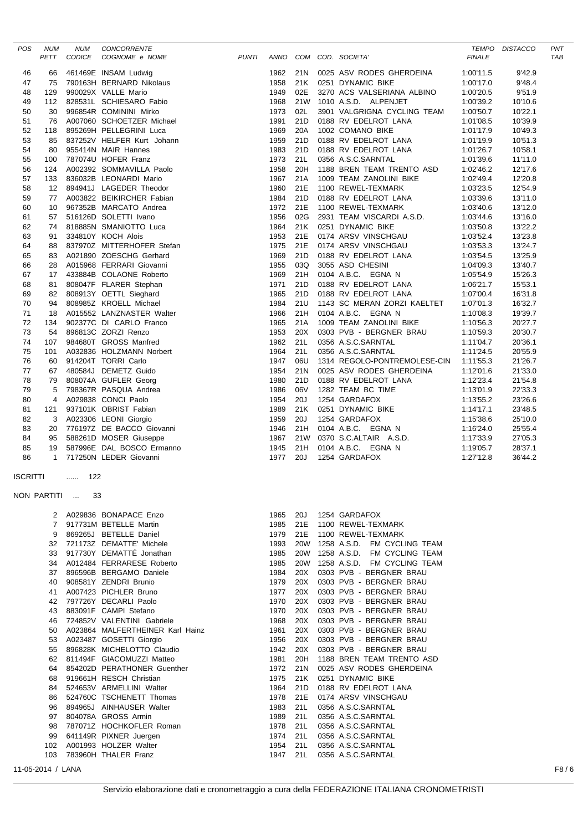| POS             | <b>NUM</b><br>PETT | <b>NUM</b><br>CODICE | CONCORRENTE<br>COGNOME e NOME                                                                                                                                                                                                                    | <b>PUNTI</b> |                  |            | ANNO COM COD. SOCIETA'                             | <b>TEMPO</b><br><b>FINALE</b> | <b>DISTACCO</b>    | PNT<br><b>TAB</b> |
|-----------------|--------------------|----------------------|--------------------------------------------------------------------------------------------------------------------------------------------------------------------------------------------------------------------------------------------------|--------------|------------------|------------|----------------------------------------------------|-------------------------------|--------------------|-------------------|
|                 |                    |                      |                                                                                                                                                                                                                                                  |              | 1962             | 21N        | 0025 ASV RODES GHERDEINA                           |                               | 9'42.9             |                   |
| 46<br>47        | 66<br>75           |                      | 461469E INSAM Ludwig<br>790163H BERNARD Nikolaus                                                                                                                                                                                                 |              | 1958             | 21K        | 0251 DYNAMIC BIKE                                  | 1:00'11.5<br>1:00'17.0        | 9'48.4             |                   |
| 48              | 129                |                      | 990029X VALLE Mario                                                                                                                                                                                                                              |              | 1949             | 02E        | 3270 ACS VALSERIANA ALBINO                         | 1:00'20.5                     | 9'51.9             |                   |
| 49              | 112                |                      | 828531L SCHIESARO Fabio                                                                                                                                                                                                                          |              | 1968             | 21W        | 1010 A.S.D. ALPENJET                               | 1:00'39.2                     | 10'10.6            |                   |
| 50              | 30                 |                      | 996854R COMININI Mirko                                                                                                                                                                                                                           |              | 1973             | 02L        | 3901 VALGRIGNA CYCLING TEAM                        | 1:00'50.7                     | 10'22.1            |                   |
| 51              | 76                 |                      | A007060 SCHOETZER Michael                                                                                                                                                                                                                        |              | 1991             | 21D        | 0188 RV EDELROT LANA                               | 1:01'08.5                     | 10'39.9            |                   |
| 52              | 118                |                      | 895269H PELLEGRINI Luca                                                                                                                                                                                                                          |              | 1969             | 20A        | 1002 COMANO BIKE                                   | 1:01'17.9                     | 10'49.3            |                   |
| 53              | 85                 |                      | 837252V HELFER Kurt Johann                                                                                                                                                                                                                       |              | 1959             | 21D        | 0188 RV EDELROT LANA                               | 1:01'19.9                     | 10'51.3            |                   |
| 54              | 80                 |                      | 955414N MAIR Hannes                                                                                                                                                                                                                              |              | 1983             | 21D        | 0188 RV EDELROT LANA                               | 1:01'26.7                     | 10'58.1            |                   |
| 55              | 100                |                      | 787074U HOFER Franz                                                                                                                                                                                                                              |              | 1973             | 21L        | 0356 A.S.C.SARNTAL                                 | 1:01'39.6                     | 11'11.0            |                   |
| 56              | 124                |                      | A002392 SOMMAVILLA Paolo                                                                                                                                                                                                                         |              | 1958             | 20H        | 1188 BREN TEAM TRENTO ASD                          | 1:02'46.2                     | 12'17.6            |                   |
| 57              | 133                |                      | 836032B LEONARDI Mario                                                                                                                                                                                                                           |              | 1967             | 21A        | 1009 TEAM ZANOLINI BIKE                            | 1:02'49.4                     | 12'20.8            |                   |
| 58              | 12                 |                      | 894941J LAGEDER Theodor                                                                                                                                                                                                                          |              | 1960             | 21E        | 1100 REWEL-TEXMARK                                 | 1:03'23.5                     | 12'54.9            |                   |
| 59              | 77                 |                      | A003822 BEIKIRCHER Fabian                                                                                                                                                                                                                        |              | 1984<br>1972     | 21D<br>21E | 0188 RV EDELROT LANA                               | 1:03'39.6                     | 13'11.0            |                   |
| 60<br>61        | 10<br>57           |                      | 967352B MARCATO Andrea<br>516126D SOLETTI Ivano                                                                                                                                                                                                  |              | 1956             | 02G        | 1100 REWEL-TEXMARK<br>2931 TEAM VISCARDI A.S.D.    | 1:03'40.6<br>1:03'44.6        | 13'12.0<br>13'16.0 |                   |
| 62              | 74                 |                      | 516126D SOLETTI IVano<br>818885N SMANIOTTO Luca<br>334810Y KOCH Alois<br>837970Z MITTERHOFER Stefan<br>A021890 ZOESCHG Gerhard<br>A015968 FERRARI Giovanni<br>433884B COLAONE Roberto<br>808047F FLARER Stephan<br>808913Y OETTL Sieghard<br>808 |              | 1964             | 21K        | 0251 DYNAMIC BIKE                                  | 1:03'50.8                     | 13'22.2            |                   |
| 63              | 91                 |                      |                                                                                                                                                                                                                                                  |              | 1953             | 21E        | 0174 ARSV VINSCHGAU                                | 1:03'52.4                     | 13'23.8            |                   |
| 64              | 88                 |                      |                                                                                                                                                                                                                                                  |              | 1975             | 21E        | 0174 ARSV VINSCHGAU                                | 1:03'53.3                     | 13'24.7            |                   |
| 65              | 83                 |                      |                                                                                                                                                                                                                                                  |              | 1969             | 21D        | 0188 RV EDELROT LANA                               | 1:03'54.5                     | 13'25.9            |                   |
| 66              | 28                 |                      |                                                                                                                                                                                                                                                  |              | 1955             | 03Q        | 3055 ASD CHESINI                                   | 1:04'09.3                     | 13'40.7            |                   |
| 67              | 17                 |                      |                                                                                                                                                                                                                                                  |              | 1969             | 21H        | 0104 A.B.C. EGNA N                                 | 1:05'54.9                     | 15'26.3            |                   |
| 68              | 81                 |                      |                                                                                                                                                                                                                                                  |              | 1971             | 21D        | 0188 RV EDELROT LANA                               | 1:06'21.7                     | 15'53.1            |                   |
| 69              | 82                 |                      |                                                                                                                                                                                                                                                  |              | 1965             | 21D        | 0188 RV EDELROT LANA                               | 1:07'00.4                     | 16'31.8            |                   |
| 70              | 94                 |                      |                                                                                                                                                                                                                                                  |              | 1984             | 21U        | 1143 SC MERAN ZORZI KAELTET                        | 1:07'01.3                     | 16'32.7            |                   |
| 71              | 18                 |                      |                                                                                                                                                                                                                                                  |              | 1966             | 21H        | 0104 A.B.C. EGNA N                                 | 1:10'08.3                     | 19'39.7            |                   |
| 72              | 134                |                      | 902377C DI CARLO Franco                                                                                                                                                                                                                          |              | 1965             | 21A        | 1009 TEAM ZANOLINI BIKE                            | 1:10'56.3                     | 20'27.7            |                   |
| 73              | 54                 |                      | 896813C ZORZI Renzo                                                                                                                                                                                                                              |              | 1953             | 20X        | 0303 PVB - BERGNER BRAU                            | 1:10'59.3                     | 20'30.7            |                   |
| 74              | 107                |                      | 984680T GROSS Manfred                                                                                                                                                                                                                            |              | 1962             | 21L        | 0356 A.S.C.SARNTAL                                 | 1:11'04.7                     | 20'36.1            |                   |
| 75              | 101                |                      | A032836 HOLZMANN Norbert                                                                                                                                                                                                                         |              | 1964             | 21L        | 0356 A.S.C.SARNTAL                                 | 1:11'24.5                     | 20'55.9            |                   |
| 76              | 60                 |                      | 914204T TORRI Carlo<br>480584J DEMETZ Guido                                                                                                                                                                                                      |              | 1947             | 06U<br>21N | 1314 REGOLO-PONTREMOLESE-CIN                       | 1:11'55.3                     | 21'26.7            |                   |
| 77<br>78        | 67<br>79           |                      | 808074A GUFLER Georg                                                                                                                                                                                                                             |              | 1954<br>1980     | 21D        | 0025 ASV RODES GHERDEINA<br>0188 RV EDELROT LANA   | 1:12'01.6<br>1:12'23.4        | 21'33.0<br>21'54.8 |                   |
| 79              | 5                  |                      | 798367R PASQUA Andrea                                                                                                                                                                                                                            |              | 1986             | 06V        | 1282 TEAM BC TIME                                  | 1:13'01.9                     | 22'33.3            |                   |
| 80              | $\overline{4}$     |                      | A029838 CONCI Paolo                                                                                                                                                                                                                              |              | 1954             | 20J        | 1254 GARDAFOX                                      | 1:13'55.2                     | 23'26.6            |                   |
| 81              | 121                |                      | 937101K OBRIST Fabian                                                                                                                                                                                                                            |              | 1989             | 21K        | 0251 DYNAMIC BIKE                                  | 1:14'17.1                     | 23'48.5            |                   |
| 82              | 3                  |                      | A023306 LEONI Giorgio                                                                                                                                                                                                                            |              | 1959             | 20J        | 1254 GARDAFOX                                      | 1:15'38.6                     | 25'10.0            |                   |
| 83              | 20                 |                      | 776197Z DE BACCO Giovanni                                                                                                                                                                                                                        |              | 1946             | 21H        | 0104 A.B.C. EGNA N                                 | 1:16'24.0                     | 25'55.4            |                   |
| 84              | 95                 |                      | 588261D MOSER Giuseppe                                                                                                                                                                                                                           |              | 1967             | 21W        | 0370 S.C.ALTAIR A.S.D.                             | 1:17'33.9                     | 27'05.3            |                   |
| 85              | 19                 |                      | 587996E DAL BOSCO Ermanno                                                                                                                                                                                                                        |              | 1945             | 21H        | 0104 A.B.C. EGNA N                                 | 1:19'05.7                     | 28'37.1            |                   |
| 86              | $\mathbf{1}$       |                      | 717250N LEDER Giovanni                                                                                                                                                                                                                           |              | 1977             | 20J        | 1254 GARDAFOX                                      | 1:27'12.8                     | 36'44.2            |                   |
| <b>ISCRITTI</b> |                    | 122                  |                                                                                                                                                                                                                                                  |              |                  |            |                                                    |                               |                    |                   |
|                 | NON PARTITI        | 33                   |                                                                                                                                                                                                                                                  |              |                  |            |                                                    |                               |                    |                   |
|                 | 2                  |                      | A029836 BONAPACE Enzo                                                                                                                                                                                                                            |              | 1965             | 20J        | 1254 GARDAFOX                                      |                               |                    |                   |
|                 | 7                  |                      | 917731M BETELLE Martin                                                                                                                                                                                                                           |              | 1985             | 21E        | 1100 REWEL-TEXMARK                                 |                               |                    |                   |
|                 | 9                  |                      | 869265J BETELLE Daniel                                                                                                                                                                                                                           |              | 1979             | 21E        | 1100 REWEL-TEXMARK                                 |                               |                    |                   |
|                 | 32                 |                      | 721173Z DEMATTE' Michele                                                                                                                                                                                                                         |              | 1993             |            | 20W 1258 A.S.D. FM CYCLING TEAM                    |                               |                    |                   |
|                 | 33                 |                      | 917730Y DEMATTÉ Jonathan                                                                                                                                                                                                                         |              | 1985             | <b>20W</b> | 1258 A.S.D. FM CYCLING TEAM                        |                               |                    |                   |
|                 | 34                 |                      | A012484 FERRARESE Roberto                                                                                                                                                                                                                        |              | 1985             | <b>20W</b> | 1258 A.S.D. FM CYCLING TEAM                        |                               |                    |                   |
|                 | 37                 |                      | 896596B BERGAMO Daniele                                                                                                                                                                                                                          |              | 1984             | 20X        | 0303 PVB - BERGNER BRAU                            |                               |                    |                   |
|                 | 40                 |                      | 908581Y ZENDRI Brunio                                                                                                                                                                                                                            |              | 1979             | 20X        | 0303 PVB - BERGNER BRAU                            |                               |                    |                   |
|                 | 41                 |                      | A007423 PICHLER Bruno                                                                                                                                                                                                                            |              | 1977             | 20X        | 0303 PVB - BERGNER BRAU                            |                               |                    |                   |
|                 | 42                 |                      | 797726Y DECARLI Paolo                                                                                                                                                                                                                            |              | 1970             | 20X        | 0303 PVB - BERGNER BRAU                            |                               |                    |                   |
|                 | 43                 |                      | 883091F CAMPI Stefano                                                                                                                                                                                                                            |              | 1970             | 20X        | 0303 PVB - BERGNER BRAU                            |                               |                    |                   |
|                 | 46                 |                      | 724852V VALENTINI Gabriele<br>A023864 MALFERTHEINER Karl Hainz                                                                                                                                                                                   |              | 1968             | 20X<br>20X | 0303 PVB - BERGNER BRAU                            |                               |                    |                   |
|                 | 50<br>53           |                      | A023487 GOSETTI Giorgio                                                                                                                                                                                                                          |              | 1961<br>1956     | 20X        | 0303 PVB - BERGNER BRAU<br>0303 PVB - BERGNER BRAU |                               |                    |                   |
|                 | 55                 |                      | 896828K MICHELOTTO Claudio                                                                                                                                                                                                                       |              | 1942             | 20X        | 0303 PVB - BERGNER BRAU                            |                               |                    |                   |
|                 | 62                 |                      | 811494F GIACOMUZZI Matteo                                                                                                                                                                                                                        |              | 1981             | 20H        | 1188 BREN TEAM TRENTO ASD                          |                               |                    |                   |
|                 | 64                 |                      | 854202D PERATHONER Guenther                                                                                                                                                                                                                      |              | 1972             | 21N        | 0025 ASV RODES GHERDEINA                           |                               |                    |                   |
|                 | 68                 |                      | 919661H RESCH Christian                                                                                                                                                                                                                          |              | 1975             | 21K        | 0251 DYNAMIC BIKE                                  |                               |                    |                   |
|                 | 84                 |                      | 524653V ARMELLINI Walter                                                                                                                                                                                                                         |              | 1964             | 21D        | 0188 RV EDELROT LANA                               |                               |                    |                   |
|                 | 86                 |                      | 524760C TSCHENETT Thomas                                                                                                                                                                                                                         |              | 1978             | 21E        | 0174 ARSV VINSCHGAU                                |                               |                    |                   |
|                 | 96                 |                      | 894965J AINHAUSER Walter                                                                                                                                                                                                                         |              | 1983             | 21L        | 0356 A.S.C.SARNTAL                                 |                               |                    |                   |
|                 | 97                 |                      | 804078A GROSS Armin                                                                                                                                                                                                                              |              | 1989             | 21L        | 0356 A.S.C.SARNTAL                                 |                               |                    |                   |
|                 | 98                 |                      | 787071Z HOCHKOFLER Roman                                                                                                                                                                                                                         |              | 1978             | 21L        | 0356 A.S.C.SARNTAL                                 |                               |                    |                   |
|                 | 99                 |                      | 641149R PIXNER Juergen                                                                                                                                                                                                                           |              | 1974             | 21L<br>21L | 0356 A.S.C.SARNTAL                                 |                               |                    |                   |
|                 | 102<br>103         |                      | A001993 HOLZER Walter<br>783960H THALER Franz                                                                                                                                                                                                    |              | 1954<br>1947 21L |            | 0356 A.S.C.SARNTAL<br>0356 A.S.C.SARNTAL           |                               |                    |                   |
|                 |                    |                      |                                                                                                                                                                                                                                                  |              |                  |            |                                                    |                               |                    |                   |
|                 | 11-05-2014 / LANA  |                      |                                                                                                                                                                                                                                                  |              |                  |            |                                                    |                               |                    | F8/6              |